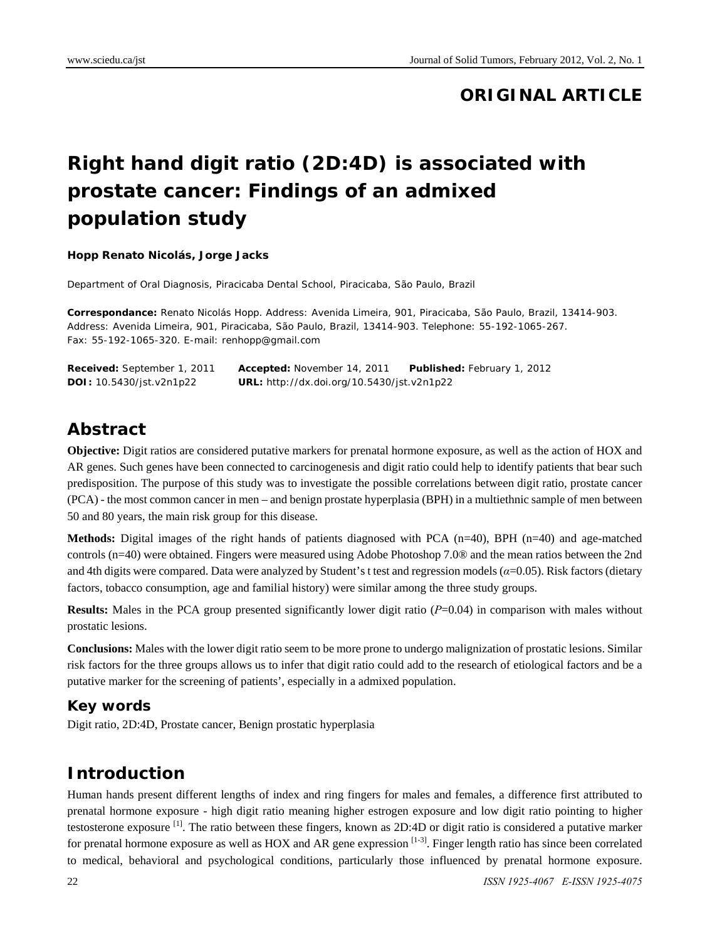### **ORIGINAL ARTICLE**

# **Right hand digit ratio (2D:4D) is associated with prostate cancer: Findings of an admixed population study**

#### **Hopp Renato Nicolás, Jorge Jacks**

Department of Oral Diagnosis, Piracicaba Dental School, Piracicaba, São Paulo, Brazil

**Correspondance:** Renato Nicolás Hopp. Address: Avenida Limeira, 901, Piracicaba, São Paulo, Brazil, 13414-903. Address: Avenida Limeira, 901, Piracicaba, São Paulo, Brazil, 13414-903. Telephone: 55-192-1065-267. Fax: 55-192-1065-320. E-mail: renhopp@gmail.com

| <b>Received:</b> September 1, 2011 | <b>Accepted:</b> November 14, 2011                | <b>Published:</b> February 1, 2012 |
|------------------------------------|---------------------------------------------------|------------------------------------|
| <b>DOI</b> : $10.5430/jst.v2n1p22$ | <b>URL:</b> http://dx.doi.org/10.5430/jst.v2n1p22 |                                    |

### **Abstract**

**Objective:** Digit ratios are considered putative markers for prenatal hormone exposure, as well as the action of HOX and AR genes. Such genes have been connected to carcinogenesis and digit ratio could help to identify patients that bear such predisposition. The purpose of this study was to investigate the possible correlations between digit ratio, prostate cancer (PCA) - the most common cancer in men – and benign prostate hyperplasia (BPH) in a multiethnic sample of men between 50 and 80 years, the main risk group for this disease.

**Methods:** Digital images of the right hands of patients diagnosed with PCA (n=40), BPH (n=40) and age-matched controls (n=40) were obtained. Fingers were measured using Adobe Photoshop 7.0® and the mean ratios between the 2nd and 4th digits were compared. Data were analyzed by Student's t test and regression models (*α*=0.05). Risk factors (dietary factors, tobacco consumption, age and familial history) were similar among the three study groups.

**Results:** Males in the PCA group presented significantly lower digit ratio (*P*=0.04) in comparison with males without prostatic lesions.

**Conclusions:** Males with the lower digit ratio seem to be more prone to undergo malignization of prostatic lesions. Similar risk factors for the three groups allows us to infer that digit ratio could add to the research of etiological factors and be a putative marker for the screening of patients', especially in a admixed population.

#### **Key words**

Digit ratio, 2D:4D, Prostate cancer, Benign prostatic hyperplasia

#### **Introduction**

Human hands present different lengths of index and ring fingers for males and females, a difference first attributed to prenatal hormone exposure - high digit ratio meaning higher estrogen exposure and low digit ratio pointing to higher testosterone exposure  $^{[1]}$ . The ratio between these fingers, known as 2D:4D or digit ratio is considered a putative marker for prenatal hormone exposure as well as HOX and AR gene expression  $[1-3]$ . Finger length ratio has since been correlated to medical, behavioral and psychological conditions, particularly those influenced by prenatal hormone exposure.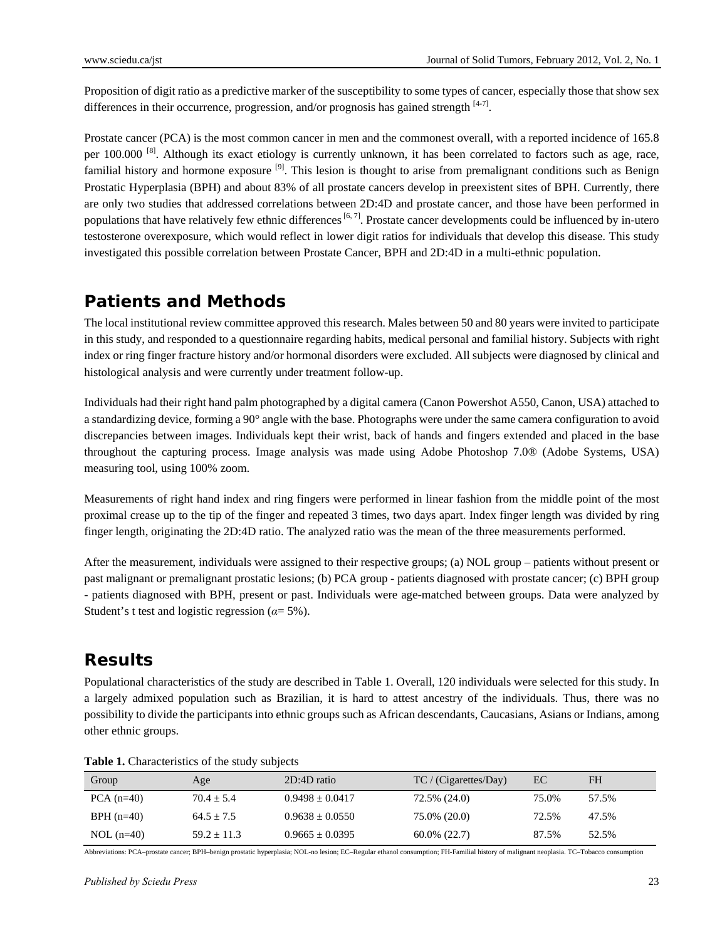Proposition of digit ratio as a predictive marker of the susceptibility to some types of cancer, especially those that show sex differences in their occurrence, progression, and/or prognosis has gained strength  $[4-7]$ .

Prostate cancer (PCA) is the most common cancer in men and the commonest overall, with a reported incidence of 165.8 per  $100.000$  <sup>[8]</sup>. Although its exact etiology is currently unknown, it has been correlated to factors such as age, race, familial history and hormone exposure  $[9]$ . This lesion is thought to arise from premalignant conditions such as Benign Prostatic Hyperplasia (BPH) and about 83% of all prostate cancers develop in preexistent sites of BPH. Currently, there are only two studies that addressed correlations between 2D:4D and prostate cancer, and those have been performed in populations that have relatively few ethnic differences  $[6, 7]$ . Prostate cancer developments could be influenced by in-utero testosterone overexposure, which would reflect in lower digit ratios for individuals that develop this disease. This study investigated this possible correlation between Prostate Cancer, BPH and 2D:4D in a multi-ethnic population.

### **Patients and Methods**

The local institutional review committee approved this research. Males between 50 and 80 years were invited to participate in this study, and responded to a questionnaire regarding habits, medical personal and familial history. Subjects with right index or ring finger fracture history and/or hormonal disorders were excluded. All subjects were diagnosed by clinical and histological analysis and were currently under treatment follow-up.

Individuals had their right hand palm photographed by a digital camera (Canon Powershot A550, Canon, USA) attached to a standardizing device, forming a 90° angle with the base. Photographs were under the same camera configuration to avoid discrepancies between images. Individuals kept their wrist, back of hands and fingers extended and placed in the base throughout the capturing process. Image analysis was made using Adobe Photoshop 7.0® (Adobe Systems, USA) measuring tool, using 100% zoom.

Measurements of right hand index and ring fingers were performed in linear fashion from the middle point of the most proximal crease up to the tip of the finger and repeated 3 times, two days apart. Index finger length was divided by ring finger length, originating the 2D:4D ratio. The analyzed ratio was the mean of the three measurements performed.

After the measurement, individuals were assigned to their respective groups; (a) NOL group – patients without present or past malignant or premalignant prostatic lesions; (b) PCA group - patients diagnosed with prostate cancer; (c) BPH group - patients diagnosed with BPH, present or past. Individuals were age-matched between groups. Data were analyzed by Student's t test and logistic regression (*α*= 5%).

# **Results**

Populational characteristics of the study are described in Table 1. Overall, 120 individuals were selected for this study. In a largely admixed population such as Brazilian, it is hard to attest ancestry of the individuals. Thus, there was no possibility to divide the participants into ethnic groups such as African descendants, Caucasians, Asians or Indians, among other ethnic groups.

| Group        | Age           | $2D:4D$ ratio       | TC / (Cigarettes/Day) | EC    | FH    |
|--------------|---------------|---------------------|-----------------------|-------|-------|
| $PCA (n=40)$ | $70.4 + 5.4$  | $0.9498 \pm 0.0417$ | 72.5% (24.0)          | 75.0% | 57.5% |
| $BPH (n=40)$ | $64.5 + 7.5$  | $0.9638 \pm 0.0550$ | 75.0% (20.0)          | 72.5% | 47.5% |
| $NOL$ (n=40) | $59.2 + 11.3$ | $0.9665 \pm 0.0395$ | $60.0\%$ (22.7)       | 87.5% | 52.5% |

**Table 1.** Characteristics of the study subjects

Abbreviations: PCA–prostate cancer; BPH–benign prostatic hyperplasia; NOL-no lesion; EC–Regular ethanol consumption; FH-Familial history of malignant neoplasia. TC–Tobacco consumption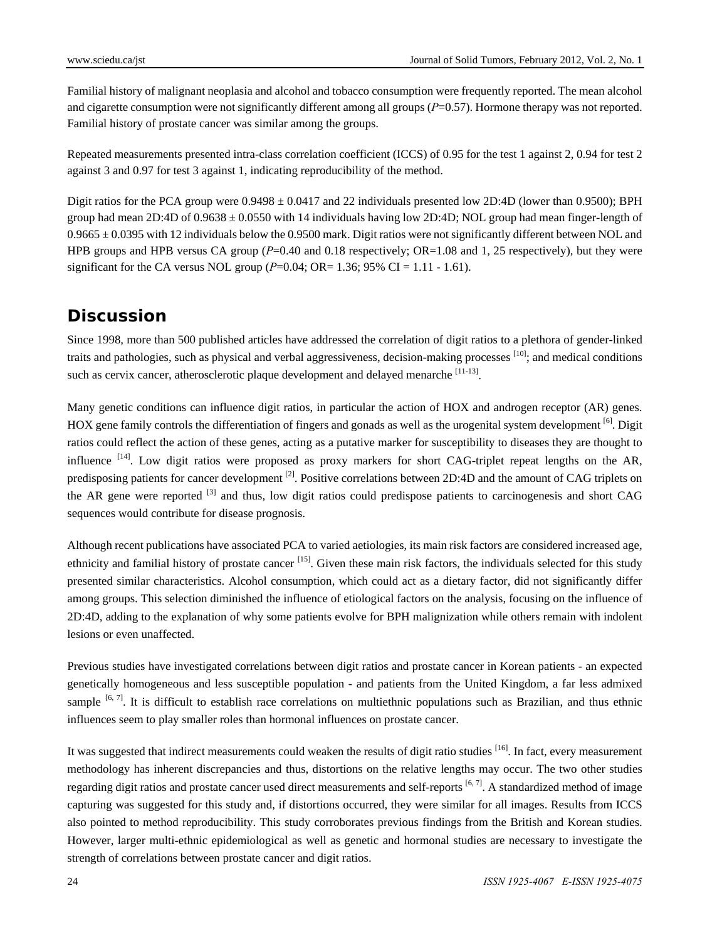Familial history of malignant neoplasia and alcohol and tobacco consumption were frequently reported. The mean alcohol and cigarette consumption were not significantly different among all groups (*P*=0.57). Hormone therapy was not reported. Familial history of prostate cancer was similar among the groups.

Repeated measurements presented intra-class correlation coefficient (ICCS) of 0.95 for the test 1 against 2, 0.94 for test 2 against 3 and 0.97 for test 3 against 1, indicating reproducibility of the method.

Digit ratios for the PCA group were 0.9498 ± 0.0417 and 22 individuals presented low 2D:4D (lower than 0.9500); BPH group had mean 2D:4D of  $0.9638 \pm 0.0550$  with 14 individuals having low 2D:4D; NOL group had mean finger-length of  $0.9665 \pm 0.0395$  with 12 individuals below the 0.9500 mark. Digit ratios were not significantly different between NOL and HPB groups and HPB versus CA group (*P*=0.40 and 0.18 respectively; OR=1.08 and 1, 25 respectively), but they were significant for the CA versus NOL group  $(P=0.04; \text{ OR} = 1.36; 95\% \text{ CI} = 1.11 - 1.61)$ .

# **Discussion**

Since 1998, more than 500 published articles have addressed the correlation of digit ratios to a plethora of gender-linked traits and pathologies, such as physical and verbal aggressiveness, decision-making processes  $[10]$ ; and medical conditions such as cervix cancer, atherosclerotic plaque development and delayed menarche [11-13].

Many genetic conditions can influence digit ratios, in particular the action of HOX and androgen receptor (AR) genes. HOX gene family controls the differentiation of fingers and gonads as well as the urogenital system development  $\left[6\right]$ . Digit ratios could reflect the action of these genes, acting as a putative marker for susceptibility to diseases they are thought to influence <sup>[14]</sup>. Low digit ratios were proposed as proxy markers for short CAG-triplet repeat lengths on the AR, predisposing patients for cancer development  $^{[2]}$ . Positive correlations between 2D:4D and the amount of CAG triplets on the AR gene were reported  $^{[3]}$  and thus, low digit ratios could predispose patients to carcinogenesis and short CAG sequences would contribute for disease prognosis.

Although recent publications have associated PCA to varied aetiologies, its main risk factors are considered increased age, ethnicity and familial history of prostate cancer <sup>[15]</sup>. Given these main risk factors, the individuals selected for this study presented similar characteristics. Alcohol consumption, which could act as a dietary factor, did not significantly differ among groups. This selection diminished the influence of etiological factors on the analysis, focusing on the influence of 2D:4D, adding to the explanation of why some patients evolve for BPH malignization while others remain with indolent lesions or even unaffected.

Previous studies have investigated correlations between digit ratios and prostate cancer in Korean patients - an expected genetically homogeneous and less susceptible population - and patients from the United Kingdom, a far less admixed sample  $[6, 7]$ . It is difficult to establish race correlations on multiethnic populations such as Brazilian, and thus ethnic influences seem to play smaller roles than hormonal influences on prostate cancer.

It was suggested that indirect measurements could weaken the results of digit ratio studies [16]. In fact, every measurement methodology has inherent discrepancies and thus, distortions on the relative lengths may occur. The two other studies regarding digit ratios and prostate cancer used direct measurements and self-reports [6,7]. A standardized method of image capturing was suggested for this study and, if distortions occurred, they were similar for all images. Results from ICCS also pointed to method reproducibility. This study corroborates previous findings from the British and Korean studies. However, larger multi-ethnic epidemiological as well as genetic and hormonal studies are necessary to investigate the strength of correlations between prostate cancer and digit ratios.